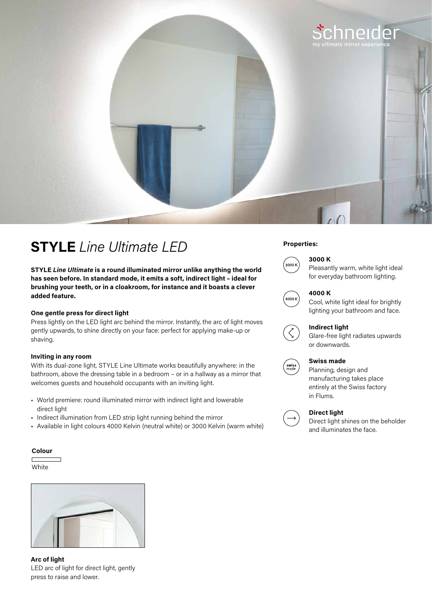

# **Properties: STYLE** *Line Ultimate LED*

**STYLE** *Line Ultimate* **is a round illuminated mirror unlike anything the world has seen before. In standard mode, it emits a soft, indirect light – ideal for brushing your teeth, or in a cloakroom, for instance and it boasts a clever added feature.**

### **One gentle press for direct light**

Press lightly on the LED light arc behind the mirror. Instantly, the arc of light moves gently upwards, to shine directly on your face: perfect for applying make-up or shaving.

#### **Inviting in any room**

With its dual-zone light, STYLE Line Ultimate works beautifully anywhere: in the bathroom, above the dressing table in a bedroom – or in a hallway as a mirror that welcomes guests and household occupants with an inviting light.

- World premiere: round illuminated mirror with indirect light and lowerable direct light
- Indirect illumination from LED strip light running behind the mirror
- Available in light colours 4000 Kelvin (neutral white) or 3000 Kelvin (warm white)

#### **Colour**

White



**Arc of light**  LED arc of light for direct light, gently press to raise and lower.

## **3000 K**



Pleasantly warm, white light ideal for everyday bathroom lighting.



#### **4000 K**

Cool, white light ideal for brightly lighting your bathroom and face.



### **Indirect light**

Glare-free light radiates upwards or downwards.



# **Swiss made**

Planning, design and manufacturing takes place entirely at the Swiss factory in Flums.



#### **Direct light**

Direct light shines on the beholder and illuminates the face.